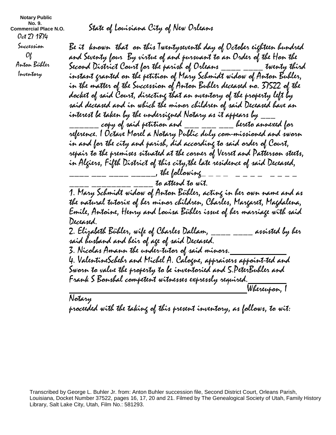**Notary Public No. 9. Commercial Place N.O.**  Oct 27 1874 Succession  $O_{l}$  Anton Bühler Inventory

State of Louisiana City of New Orleans

Be it known that on this Twentyseventh day of October eighteen hundred and Seventy four By virtue of and pursuant to an Order of the Hon the Second District Court for the parish of Orleans  $\frac{d}{dx}$   $\frac{d}{dx}$  twenty third instant granted on the petition of Mary Schmidt widow of Anton Buhler, in the matter of the Succession of Anton Buhler deceased no. 37522 of the docket of said Court, directing that an nventory of the property left by said deceased and in which the minor children of said Deceased have an interest be taken by the undersigned Notary as it appears by  $\_$  $_{\rm{-----}}$  copy of said petition and  $_{\rm{---}}$   $_{\rm{---}}$   $_{\rm{---}}$  bereto annexed for reference. I Octave Morel a Notary Public duly com-missioned and sworn in and for the city and parish, did according to said order of Court, repair to the premises situated at the corner of Verret and Patterson steets, in Algiers, Fifth District of this city,the late residence of said Deceased,  $\frac{1}{1}$  \_\_\_\_\_\_\_\_\_\_\_\_\_\_\_, the following

to attend to wit.

1. Mary Schmidt widow of Anton Bühler, acting in her own name and as the natural tutorix of her minor children, Charles, Margaret, Magdalena, Emile, Antoine, Henry and Louisa Bühler issue of her marriage with said Deceased.

2. Elizabeth Bühler, wife of Charles Dallam, \_\_\_\_ \_\_\_\_ assisted by her said husband and heir of age of said Deceased. 3. Nicolas Amann the under-tutor of said minors. 4. ValentineSchehr and Michel A. Calogne, appraisers appoint-ted and Sworn to value the property to be inventoried and 5.PeterBuhler and Frank S Bonshal competent witnesses expressly required. Whereupon, I

Notary proceeded with the taking of this present inventory, as follows, to wit:

Transcribed by George L. Buhler Jr. from: Anton Buhler succession file, Second District Court, Orleans Parish, Louisiana, Docket Number 37522, pages 16, 17, 20 and 21. Filmed by The Genealogical Society of Utah, Family History Library, Salt Lake City, Utah, Film No.: 581293.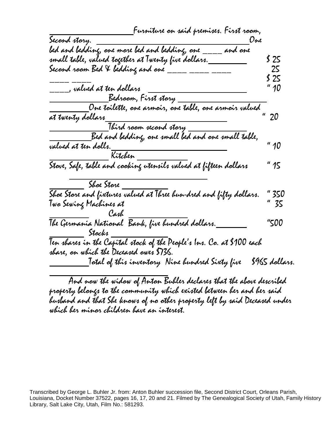| _Furniture on said premises. First room,                                                                                                                           |                |
|--------------------------------------------------------------------------------------------------------------------------------------------------------------------|----------------|
| Second story.<br>Une                                                                                                                                               |                |
| bed and bedding, one more bed and bedding, one _<br>and one                                                                                                        |                |
| small table, valued together at Twenty five dollars._                                                                                                              | S 25           |
| Second room Bed V bedding and one ____ __                                                                                                                          | ZS             |
|                                                                                                                                                                    | \$ 25          |
|                                                                                                                                                                    | $''$ 10        |
| , valued at ten dollars<br>Bedroom, First story                                                                                                                    |                |
|                                                                                                                                                                    |                |
| at twenty dollars_______                                                                                                                                           |                |
| Third room second story<br>Bed and bedding, one small bed and one small table,<br>valued at ten dolls.<br>Crange and this control is a control of the small table, |                |
|                                                                                                                                                                    |                |
|                                                                                                                                                                    | " $10$         |
|                                                                                                                                                                    |                |
| Stove, Safe, table and cooking utensils valued at fifteen dollars                                                                                                  | " 15           |
|                                                                                                                                                                    |                |
| Shoe Store and fixtures valued at Three hun-dred and fifty dollars.<br>Two Souise Machines at                                                                      | " 350          |
| Twa Sewing Machines at                                                                                                                                             | " 35           |
| Cash                                                                                                                                                               |                |
| The Germania National Bank, five hundred dollars.                                                                                                                  | "500           |
| $\_$ Stocks $\_$                                                                                                                                                   |                |
| Ten shares in the Capital stock of the People's Ins. Co. at \$100 each                                                                                             |                |
| sbare, on which the Deceased owes \$736.                                                                                                                           |                |
| _Total of this inventory Nine hundred Sixty five                                                                                                                   | \$965 dollars. |

And now the widow of Anton Buhler declares that the above described property belongs to the community which existed between her and her said husband and that She knows of no other property left by said Deceased under which her minor children have an interest.

Transcribed by George L. Buhler Jr. from: Anton Buhler succession file, Second District Court, Orleans Parish, Louisiana, Docket Number 37522, pages 16, 17, 20 and 21. Filmed by The Genealogical Society of Utah, Family History Library, Salt Lake City, Utah, Film No.: 581293.